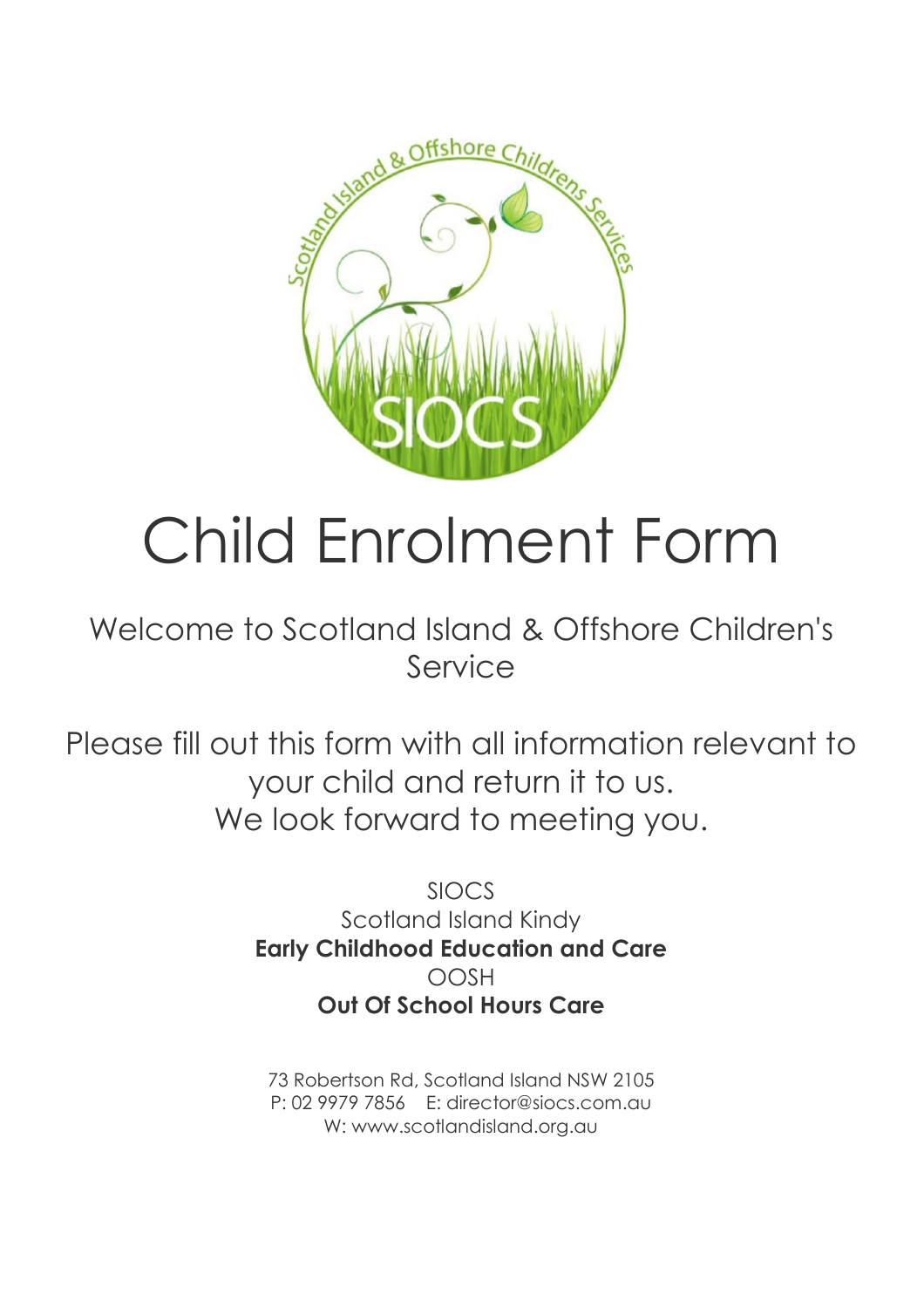

# Child Enrolment Form

## Welcome to Scotland Island & Offshore Children's Service

Please fill out this form with all information relevant to your child and return it to us. We look forward to meeting you.

> SIOCS Scotland Island Kindy **Early Childhood Education and Care** OOSH **Out Of School Hours Care**

73 Robertson Rd, Scotland Island NSW 2105 P: 02 9979 7856 E: director@siocs.com.au W: www.scotlandisland.org.au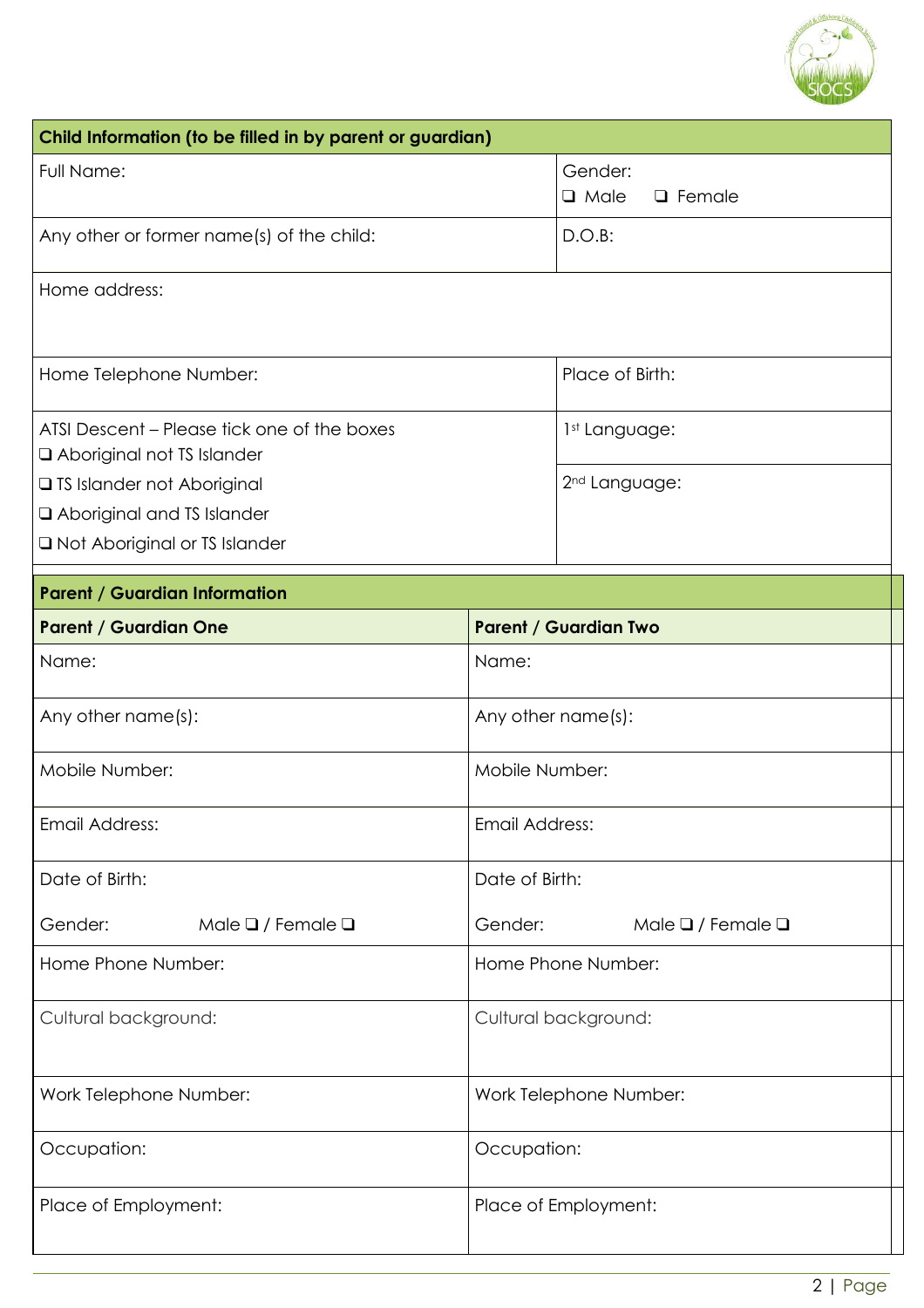

| Child Information (to be filled in by parent or guardian)                 |                                              |
|---------------------------------------------------------------------------|----------------------------------------------|
| Full Name:                                                                | Gender:                                      |
|                                                                           | <b>Q</b> Male<br>$\Box$ Female               |
| Any other or former name(s) of the child:                                 | $D.O.B$ :                                    |
| Home address:                                                             |                                              |
| Home Telephone Number:                                                    | Place of Birth:                              |
| ATSI Descent – Please tick one of the boxes<br>Aboriginal not TS Islander | 1st Language:                                |
| □ TS Islander not Aboriginal<br>Aboriginal and TS Islander                | 2 <sup>nd</sup> Language:                    |
| □ Not Aboriginal or TS Islander                                           |                                              |
| <b>Parent / Guardian Information</b>                                      |                                              |
| <b>Parent / Guardian One</b>                                              | <b>Parent / Guardian Two</b>                 |
| Name:                                                                     | Name:                                        |
| Any other name(s):                                                        | Any other name(s):                           |
| Mobile Number:                                                            | Mobile Number:                               |
| Email Address:                                                            | Email Address:                               |
| Date of Birth:                                                            | Date of Birth:                               |
| Male $\Box$ / Female $\Box$<br>Gender:                                    | Gender:<br>Male $\square$ / Female $\square$ |
| Home Phone Number:                                                        | Home Phone Number:                           |
| Cultural background:                                                      | Cultural background:                         |
| Work Telephone Number:                                                    | Work Telephone Number:                       |
| Occupation:                                                               | Occupation:                                  |
| Place of Employment:                                                      | Place of Employment:                         |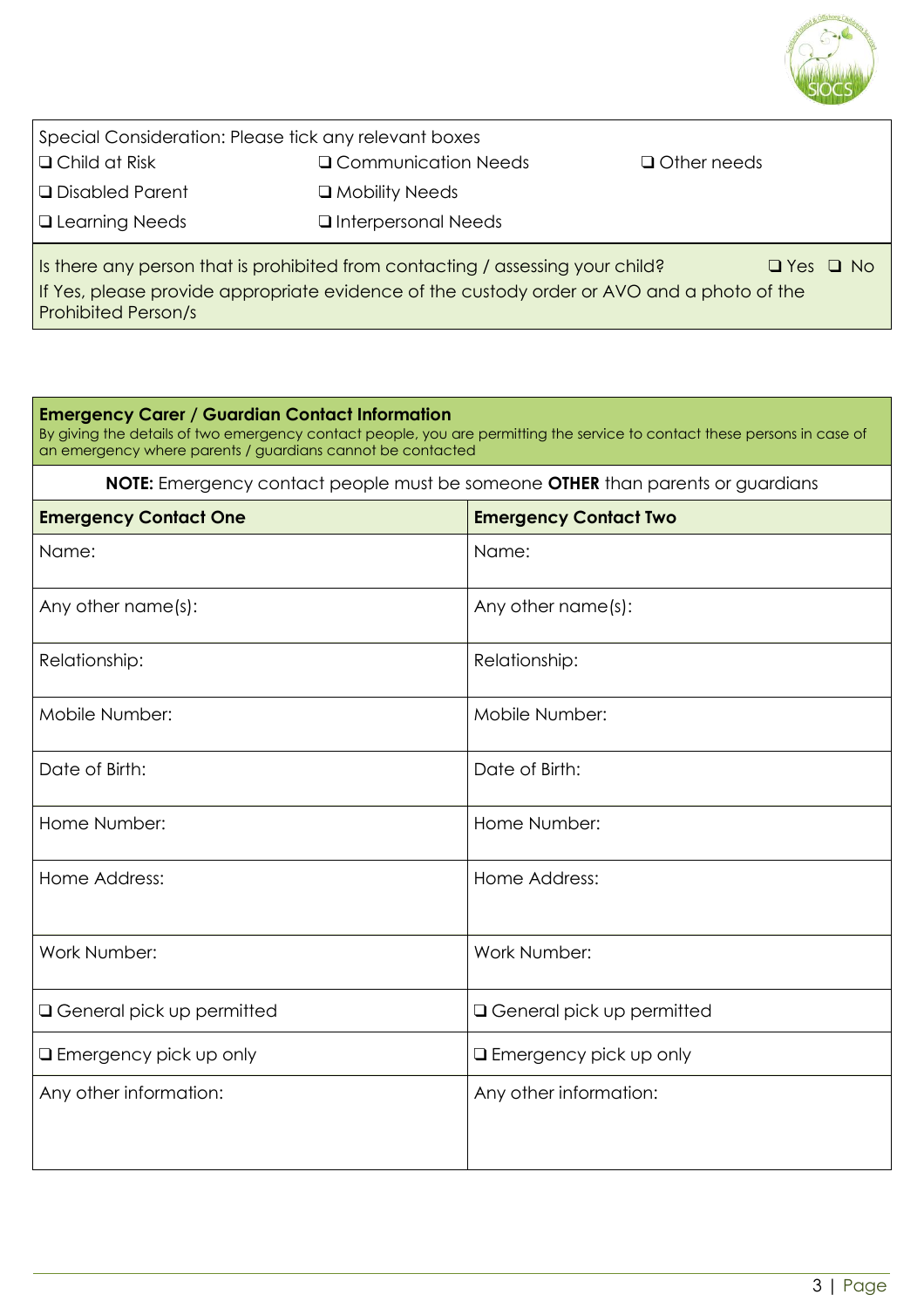

| Special Consideration: Please tick any relevant boxes                                                  |                              |                    |  |
|--------------------------------------------------------------------------------------------------------|------------------------------|--------------------|--|
| $\Box$ Child at Risk                                                                                   | Q Communication Needs        | $\Box$ Other needs |  |
| $\Box$ Disabled Parent                                                                                 | $\Box$ Mobility Needs        |                    |  |
| $\Box$ Learning Needs                                                                                  | <b>Q</b> Interpersonal Needs |                    |  |
| Is there any person that is prohibited from contacting / assessing your child?<br>$\Box$ Yes $\Box$ No |                              |                    |  |
| If Yes, please provide appropriate evidence of the custody order or AVO and a photo of the             |                              |                    |  |

Prohibited Person/s

#### **Emergency Carer / Guardian Contact Information**

By giving the details of two emergency contact people, you are permitting the service to contact these persons in case of an emergency where parents / guardians cannot be contacted

**NOTE:** Emergency contact people must be someone **OTHER** than parents or guardians

| <b>Emergency Contact One</b>       | <b>Emergency Contact Two</b>       |
|------------------------------------|------------------------------------|
| Name:                              | Name:                              |
| Any other name(s):                 | Any other name(s):                 |
| Relationship:                      | Relationship:                      |
| Mobile Number:                     | Mobile Number:                     |
| Date of Birth:                     | Date of Birth:                     |
| Home Number:                       | Home Number:                       |
| Home Address:                      | Home Address:                      |
| Work Number:                       | Work Number:                       |
| <b>Q</b> General pick up permitted | <b>Q</b> General pick up permitted |
| <b>Q</b> Emergency pick up only    | <b>Q</b> Emergency pick up only    |
| Any other information:             | Any other information:             |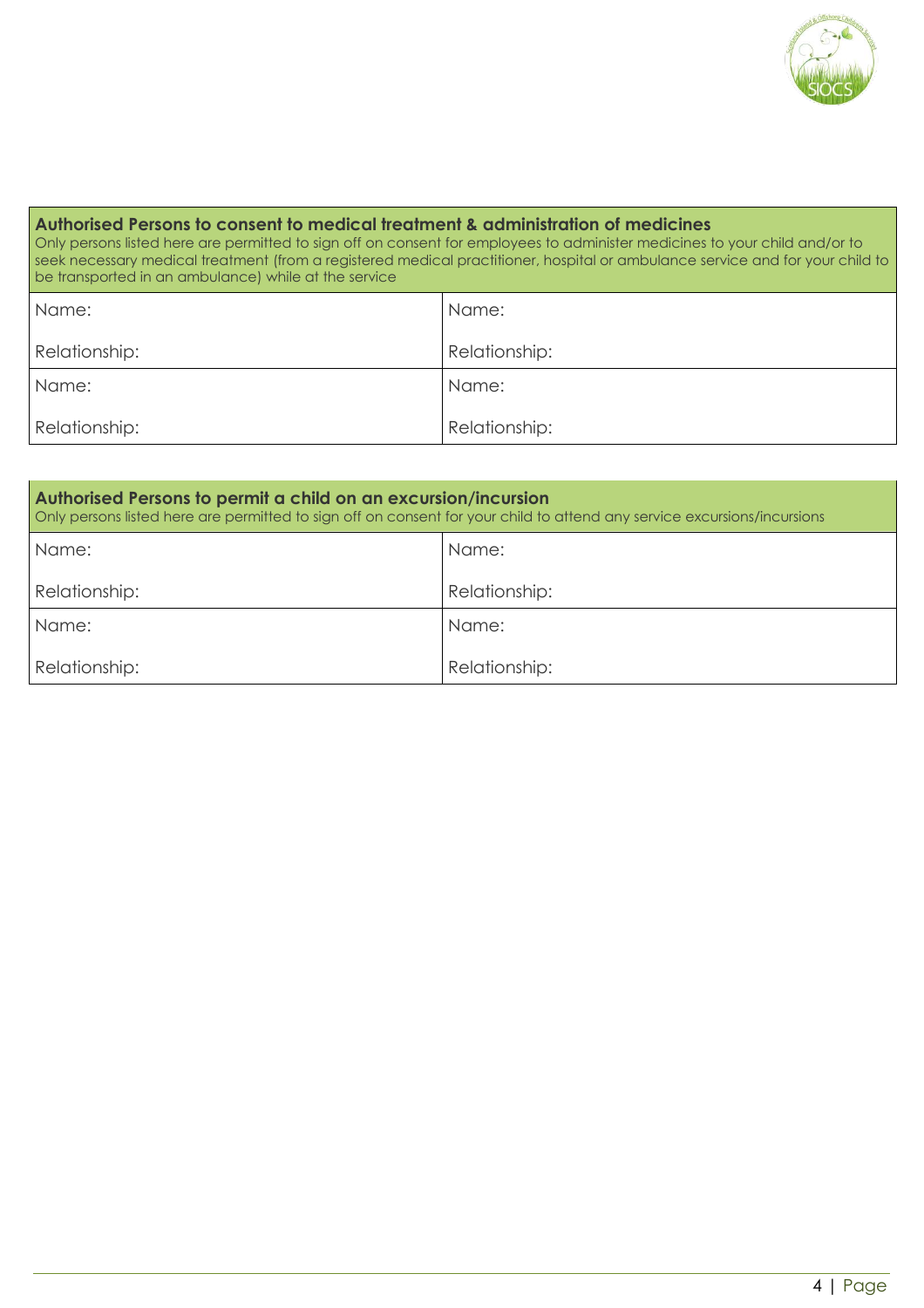

#### **Authorised Persons to consent to medical treatment & administration of medicines** Only persons listed here are permitted to sign off on consent for employees to administer medicines to your child and/or to seek necessary medical treatment (from a registered medical practitioner, hospital or ambulance service and for your child to be transported in an ambulance) while at the service Name: Relationship: Name: Relationship: Name: Relationship: Name: Relationship:

| Authorised Persons to permit a child on an excursion/incursion<br>Only persons listed here are permitted to sign off on consent for your child to attend any service excursions/incursions |               |  |
|--------------------------------------------------------------------------------------------------------------------------------------------------------------------------------------------|---------------|--|
| Name:                                                                                                                                                                                      | Name:         |  |
| Relationship:                                                                                                                                                                              | Relationship: |  |
| Name:                                                                                                                                                                                      | Name:         |  |
| Relationship:                                                                                                                                                                              | Relationship: |  |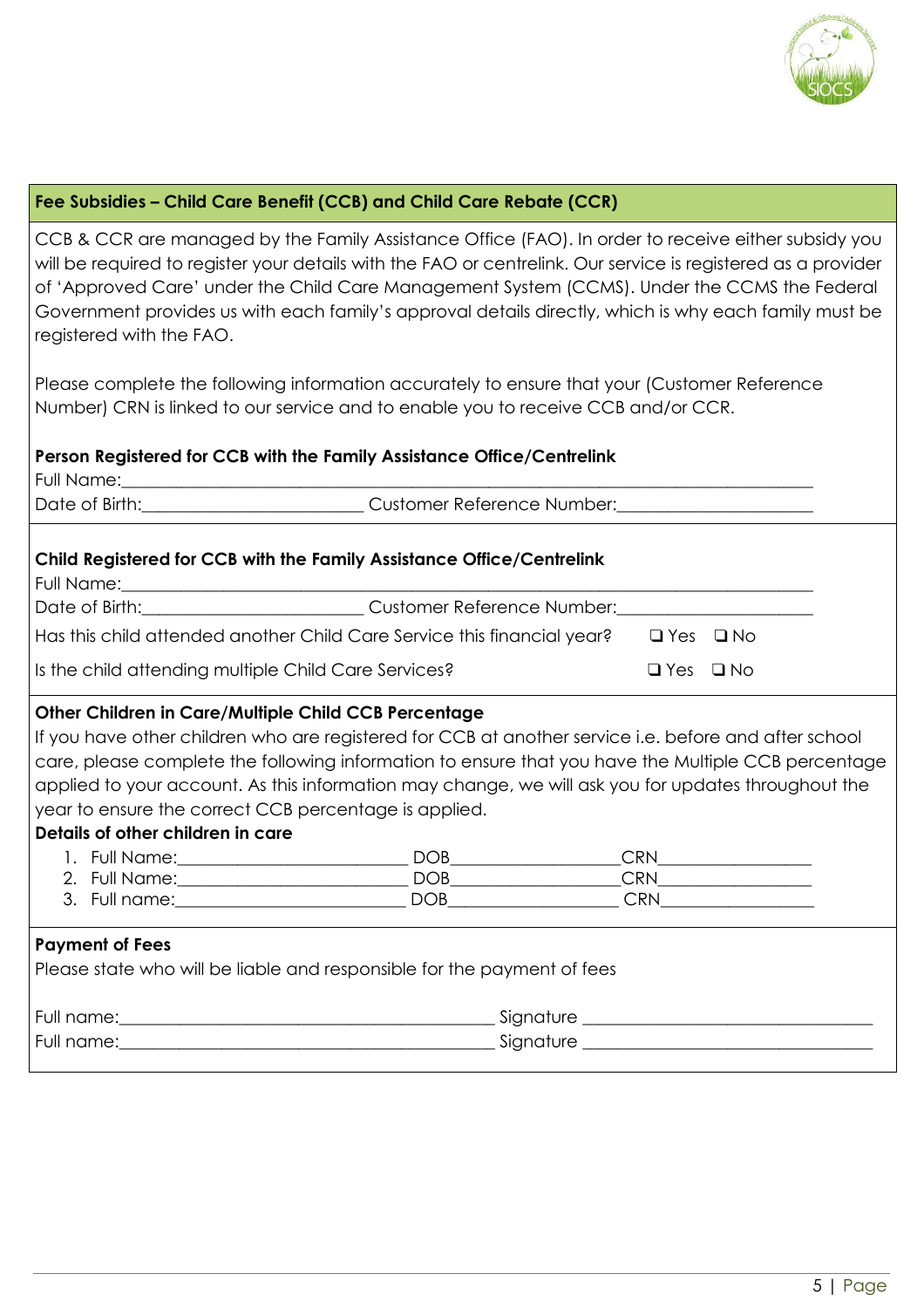

#### **Fee Subsidies – Child Care Benefit (CCB) and Child Care Rebate (CCR)**

CCB & CCR are managed by the Family Assistance Office (FAO). In order to receive either subsidy you will be required to register your details with the FAO or centrelink. Our service is registered as a provider of 'Approved Care' under the Child Care Management System (CCMS). Under the CCMS the Federal Government provides us with each family's approval details directly, which is why each family must be registered with the FAO.

Please complete the following information accurately to ensure that your (Customer Reference Number) CRN is linked to our service and to enable you to receive CCB and/or CCR.

#### **Person Registered for CCB with the Family Assistance Office/Centrelink**

Full Name:

Date of Birth: example and the Customer Reference Number:

#### **Child Registered for CCB with the Family Assistance Office/Centrelink**

Full Name:

Date of Birth:\_\_\_\_\_\_\_\_\_\_\_\_\_\_\_\_\_\_\_\_\_\_\_\_\_\_\_\_\_\_\_\_Customer Reference Number:\_

Has this child attended another Child Care Service this financial year? ❑ Yes ❑ No

Is the child attending multiple Child Care Services? ❑ Yes ❑ No

#### **Other Children in Care/Multiple Child CCB Percentage**

If you have other children who are registered for CCB at another service i.e. before and after school care, please complete the following information to ensure that you have the Multiple CCB percentage applied to your account. As this information may change, we will ask you for updates throughout the year to ensure the correct CCB percentage is applied.

#### **Details of other children in care**

|    | Full Name:    | <b>DOB</b> | אם<<br>ا ⊼ا ب |  |
|----|---------------|------------|---------------|--|
|    | 2. Full Name: | <b>DOB</b> | CRN           |  |
| ັ. | Full name:    | ∩∩P        | ∼DN           |  |

#### **Payment of Fees**

Please state who will be liable and responsible for the payment of fees

| Full name: | Signature |
|------------|-----------|
| Full name: | Signature |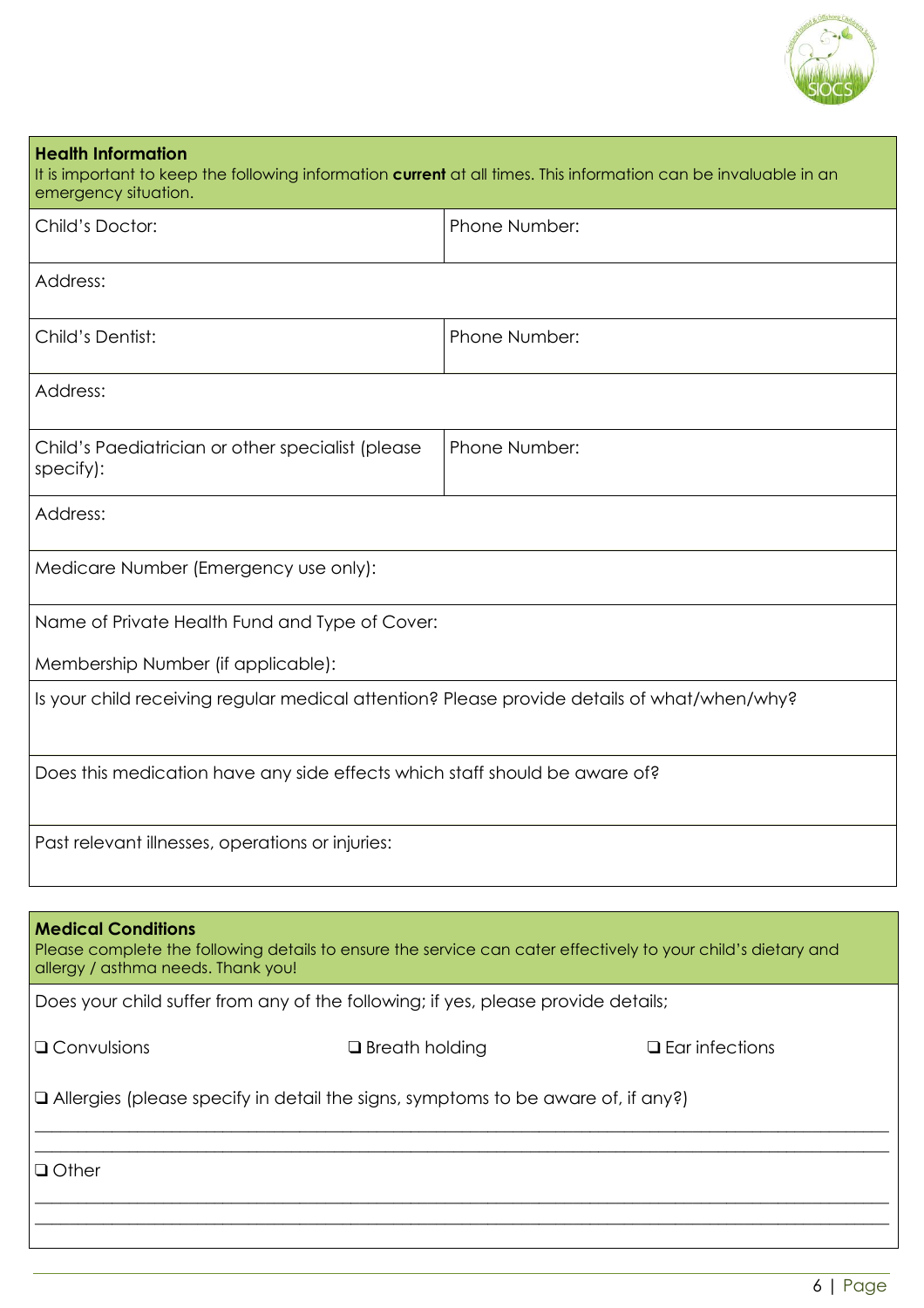

| <b>Health Information</b><br>It is important to keep the following information current at all times. This information can be invaluable in an<br>emergency situation.            |               |                          |
|----------------------------------------------------------------------------------------------------------------------------------------------------------------------------------|---------------|--------------------------|
| Child's Doctor:                                                                                                                                                                  | Phone Number: |                          |
| Address:                                                                                                                                                                         |               |                          |
| Child's Dentist:                                                                                                                                                                 | Phone Number: |                          |
| Address:                                                                                                                                                                         |               |                          |
| Child's Paediatrician or other specialist (please<br>specify):                                                                                                                   | Phone Number: |                          |
| Address:                                                                                                                                                                         |               |                          |
| Medicare Number (Emergency use only):                                                                                                                                            |               |                          |
| Name of Private Health Fund and Type of Cover:                                                                                                                                   |               |                          |
| Membership Number (if applicable):                                                                                                                                               |               |                          |
| Is your child receiving regular medical attention? Please provide details of what/when/why?                                                                                      |               |                          |
| Does this medication have any side effects which staff should be aware of?                                                                                                       |               |                          |
| Past relevant illnesses, operations or injuries:                                                                                                                                 |               |                          |
|                                                                                                                                                                                  |               |                          |
| <b>Medical Conditions</b><br>Please complete the following details to ensure the service can cater effectively to your child's dietary and<br>allergy / asthma needs. Thank you! |               |                          |
| Does your child suffer from any of the following; if yes, please provide details;                                                                                                |               |                          |
| Q Convulsions<br>$\Box$ Breath holding                                                                                                                                           |               | $\square$ Ear infections |
| □ Allergies (please specify in detail the signs, symptoms to be aware of, if any?)                                                                                               |               |                          |

\_\_\_\_\_\_\_\_\_\_\_\_\_\_\_\_\_\_\_\_\_\_\_\_\_\_\_\_\_\_\_\_\_\_\_\_\_\_\_\_\_\_\_\_\_\_\_\_\_\_\_\_\_\_\_\_\_\_\_\_\_\_\_\_\_\_\_\_\_\_\_\_\_\_\_\_\_\_\_\_\_\_\_\_\_\_\_\_\_\_\_\_\_\_\_\_\_\_\_\_

\_\_\_\_\_\_\_\_\_\_\_\_\_\_\_\_\_\_\_\_\_\_\_\_\_\_\_\_\_\_\_\_\_\_\_\_\_\_\_\_\_\_\_\_\_\_\_\_\_\_\_\_\_\_\_\_\_\_\_\_\_\_\_\_\_\_\_\_\_\_\_\_\_\_\_\_\_\_\_\_\_\_\_\_\_\_\_\_\_\_\_\_\_\_\_\_\_\_\_\_  $\_$  , and the contribution of the contribution of the contribution of the contribution of the contribution of  $\mathcal{L}_\text{max}$ 

 $\_$  , and the set of the set of the set of the set of the set of the set of the set of the set of the set of the set of the set of the set of the set of the set of the set of the set of the set of the set of the set of th

❑ Other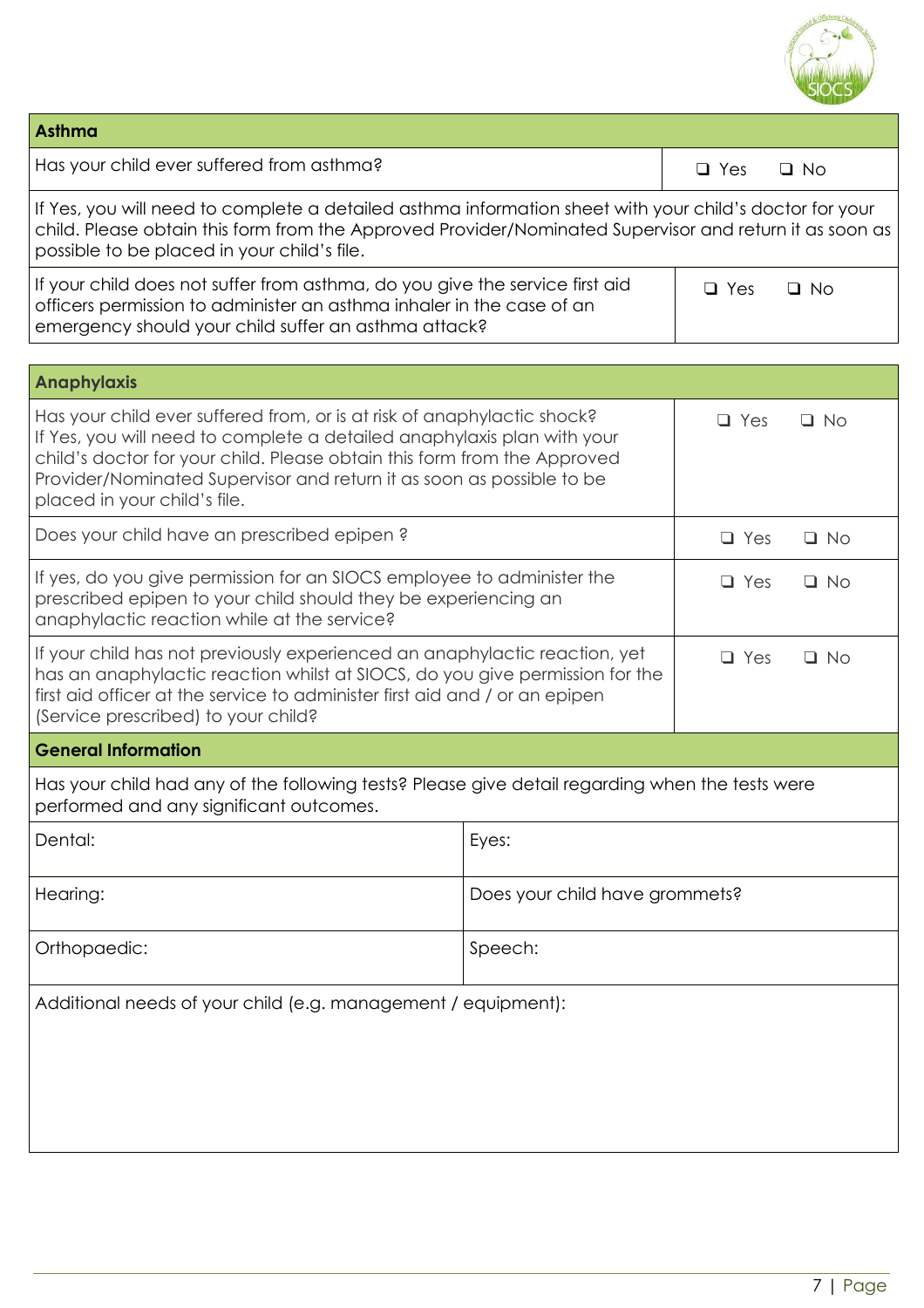

| <b>Asthma</b>                                                                                                                                                                                                                                                                                                                                                      |                                |                         |
|--------------------------------------------------------------------------------------------------------------------------------------------------------------------------------------------------------------------------------------------------------------------------------------------------------------------------------------------------------------------|--------------------------------|-------------------------|
| Has your child ever suffered from asthma?                                                                                                                                                                                                                                                                                                                          |                                | $\Box$ Yes<br>$\Box$ No |
| If Yes, you will need to complete a detailed asthma information sheet with your child's doctor for your<br>child. Please obtain this form from the Approved Provider/Nominated Supervisor and return it as soon as<br>possible to be placed in your child's file.                                                                                                  |                                |                         |
| If your child does not suffer from asthma, do you give the service first aid<br>officers permission to administer an asthma inhaler in the case of an<br>emergency should your child suffer an asthma attack?                                                                                                                                                      |                                | $\Box$ Yes<br>$\Box$ No |
|                                                                                                                                                                                                                                                                                                                                                                    |                                |                         |
| <b>Anaphylaxis</b>                                                                                                                                                                                                                                                                                                                                                 |                                |                         |
| Has your child ever suffered from, or is at risk of anaphylactic shock?<br>$\Box$ Yes<br>$\Box$ No<br>If Yes, you will need to complete a detailed anaphylaxis plan with your<br>child's doctor for your child. Please obtain this form from the Approved<br>Provider/Nominated Supervisor and return it as soon as possible to be<br>placed in your child's file. |                                |                         |
| Does your child have an prescribed epipen?                                                                                                                                                                                                                                                                                                                         |                                | $\Box$ Yes<br>$\Box$ No |
| If yes, do you give permission for an SIOCS employee to administer the<br>prescribed epipen to your child should they be experiencing an<br>anaphylactic reaction while at the service?                                                                                                                                                                            |                                | $\Box$ Yes<br>$\Box$ No |
| If your child has not previously experienced an anaphylactic reaction, yet<br>has an anaphylactic reaction whilst at SIOCS, do you give permission for the<br>first aid officer at the service to administer first aid and / or an epipen<br>(Service prescribed) to your child?                                                                                   |                                | $\Box$ Yes<br>$\Box$ No |
| <b>General Information</b>                                                                                                                                                                                                                                                                                                                                         |                                |                         |
| Has your child had any of the following tests? Please give detail regarding when the tests were<br>performed and any significant outcomes.                                                                                                                                                                                                                         |                                |                         |
| Dental:                                                                                                                                                                                                                                                                                                                                                            | Eyes:                          |                         |
| Hearing:                                                                                                                                                                                                                                                                                                                                                           | Does your child have grommets? |                         |
| Orthopaedic:<br>Speech:                                                                                                                                                                                                                                                                                                                                            |                                |                         |
| Additional needs of your child (e.g. management / equipment):                                                                                                                                                                                                                                                                                                      |                                |                         |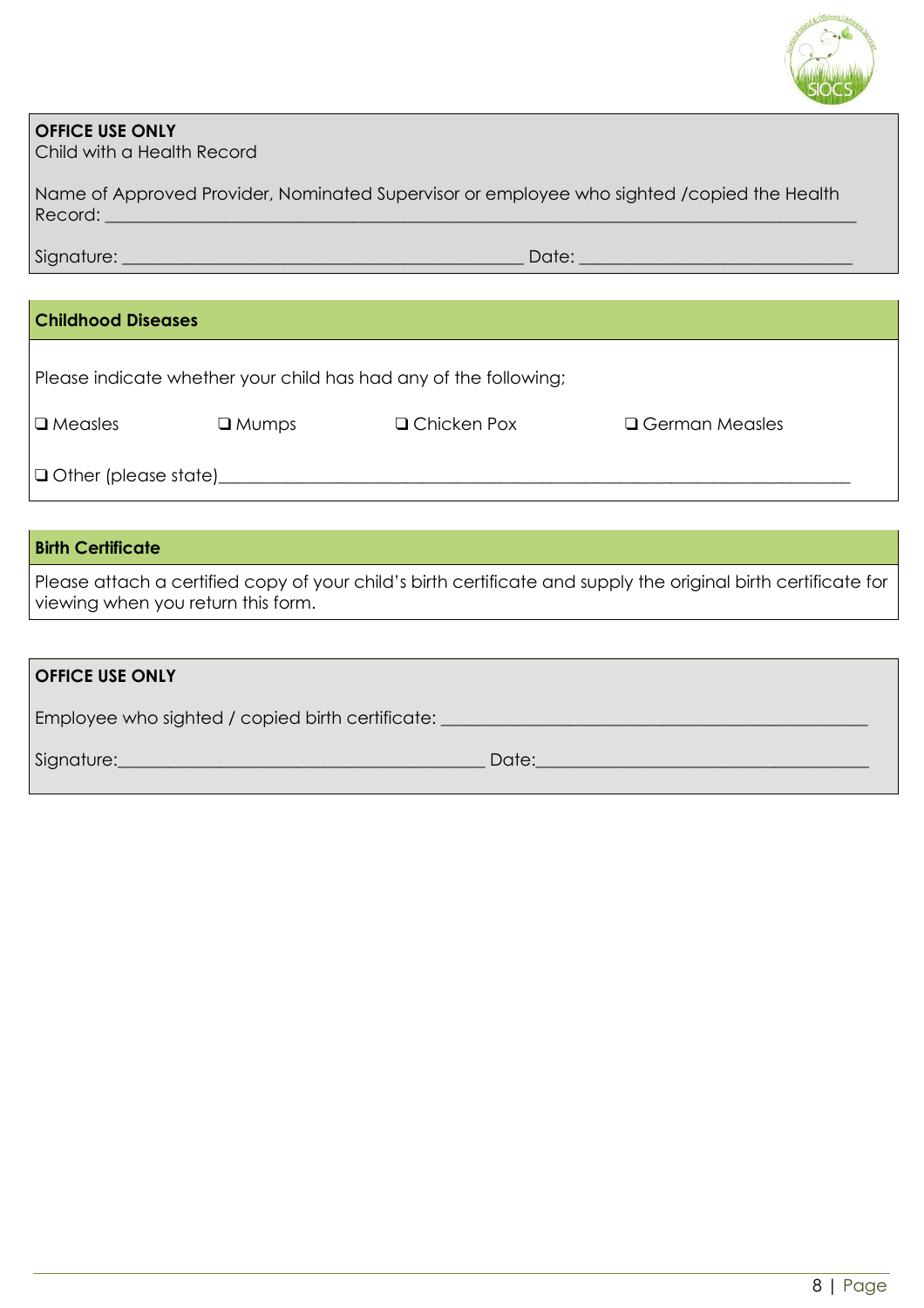

#### **OFFICE USE ONLY**

Child with a Health Record

| Name of Approved Provider, Nominated Supervisor or employee who sighted /copied the Health |  |
|--------------------------------------------------------------------------------------------|--|
| Record:                                                                                    |  |

Signature: \_\_\_\_\_\_\_\_\_\_\_\_\_\_\_\_\_\_\_\_\_\_\_\_\_\_\_\_\_\_\_\_\_\_\_\_\_\_\_\_\_\_\_\_\_\_\_ Date: \_\_\_\_\_\_\_\_\_\_\_\_\_\_\_\_\_\_\_\_\_\_\_\_\_\_\_\_\_\_\_\_

#### **Childhood Diseases**

Please indicate whether your child has had any of the following;

| $\Box$ Measles              | $\square$ Mumps | □ Chicken Pox | □ German Measles |
|-----------------------------|-----------------|---------------|------------------|
| $\Box$ Other (please state) |                 |               |                  |
|                             |                 |               |                  |

#### **Birth Certificate**

Please attach a certified copy of your child's birth certificate and supply the original birth certificate for viewing when you return this form.

| <b>OFFICE USE ONLY</b>                           |       |
|--------------------------------------------------|-------|
| Employee who sighted / copied birth certificate: |       |
| Signature:                                       | Date: |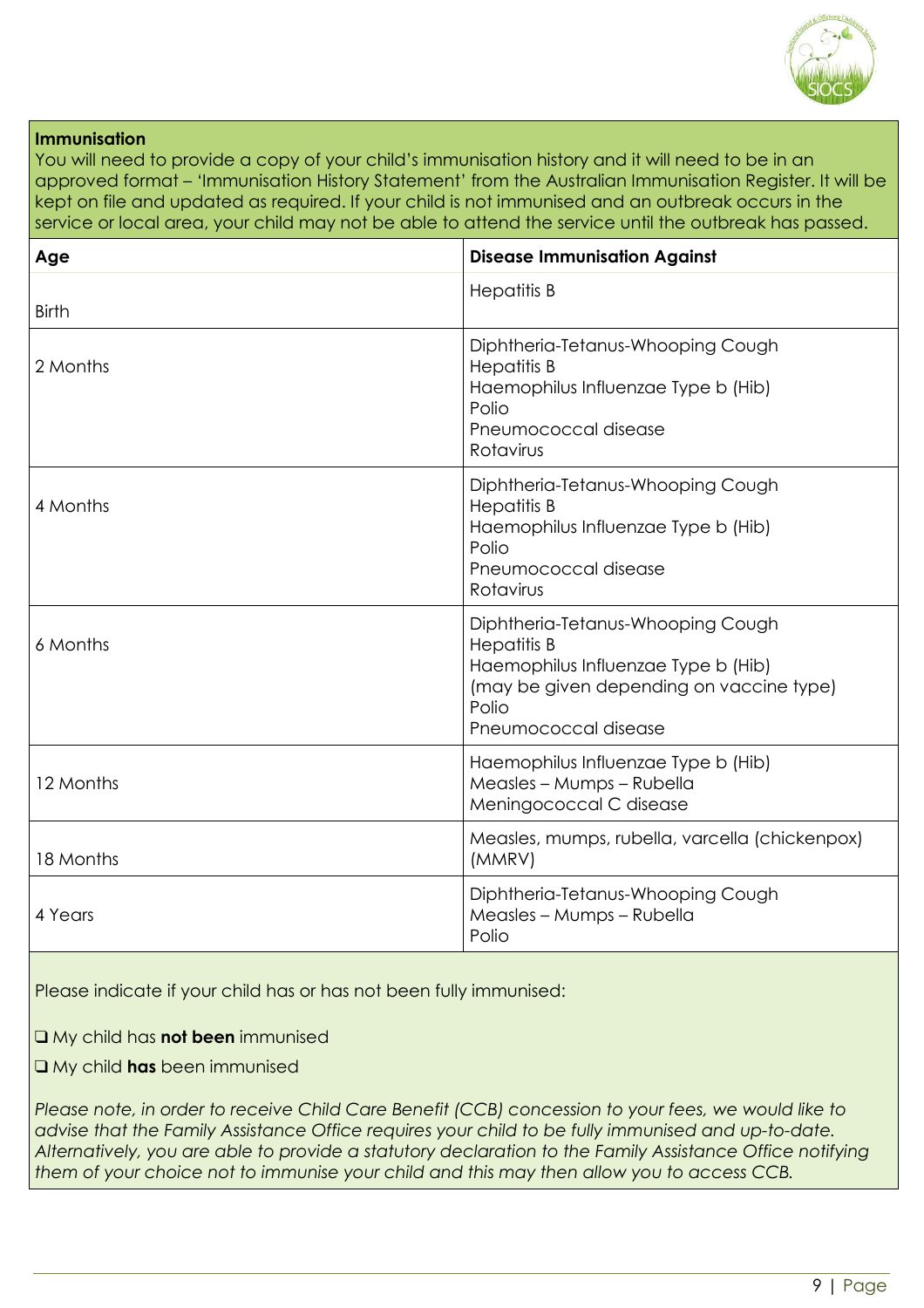

#### **Immunisation**

You will need to provide a copy of your child's immunisation history and it will need to be in an approved format – 'Immunisation History Statement' from the Australian Immunisation Register. It will be kept on file and updated as required. If your child is not immunised and an outbreak occurs in the service or local area, your child may not be able to attend the service until the outbreak has passed.

| Age          | <b>Disease Immunisation Against</b>                                                                                                                                         |
|--------------|-----------------------------------------------------------------------------------------------------------------------------------------------------------------------------|
| <b>Birth</b> | <b>Hepatitis B</b>                                                                                                                                                          |
| 2 Months     | Diphtheria-Tetanus-Whooping Cough<br><b>Hepatitis B</b><br>Haemophilus Influenzae Type b (Hib)<br>Polio<br>Pneumococcal disease<br>Rotavirus                                |
| 4 Months     | Diphtheria-Tetanus-Whooping Cough<br><b>Hepatitis B</b><br>Haemophilus Influenzae Type b (Hib)<br>Polio<br>Pneumococcal disease<br>Rotavirus                                |
| 6 Months     | Diphtheria-Tetanus-Whooping Cough<br><b>Hepatitis B</b><br>Haemophilus Influenzae Type b (Hib)<br>(may be given depending on vaccine type)<br>Polio<br>Pneumococcal disease |
| 12 Months    | Haemophilus Influenzae Type b (Hib)<br>Measles - Mumps - Rubella<br>Meningococcal C disease                                                                                 |
| 18 Months    | Measles, mumps, rubella, varcella (chickenpox)<br>(MMRV)                                                                                                                    |
| 4 Years      | Diphtheria-Tetanus-Whooping Cough<br>Measles - Mumps - Rubella<br>Polio                                                                                                     |

Please indicate if your child has or has not been fully immunised:

❑ My child has **not been** immunised

❑ My child **has** been immunised

Please note, in order to receive Child Care Benefit (CCB) concession to your fees, we would like to *advise that the Family Assistance Office requires your child to be fully immunised and up-to-date. Alternatively, you are able to provide a statutory declaration to the Family Assistance Office notifying them of your choice not to immunise your child and this may then allow you to access CCB.*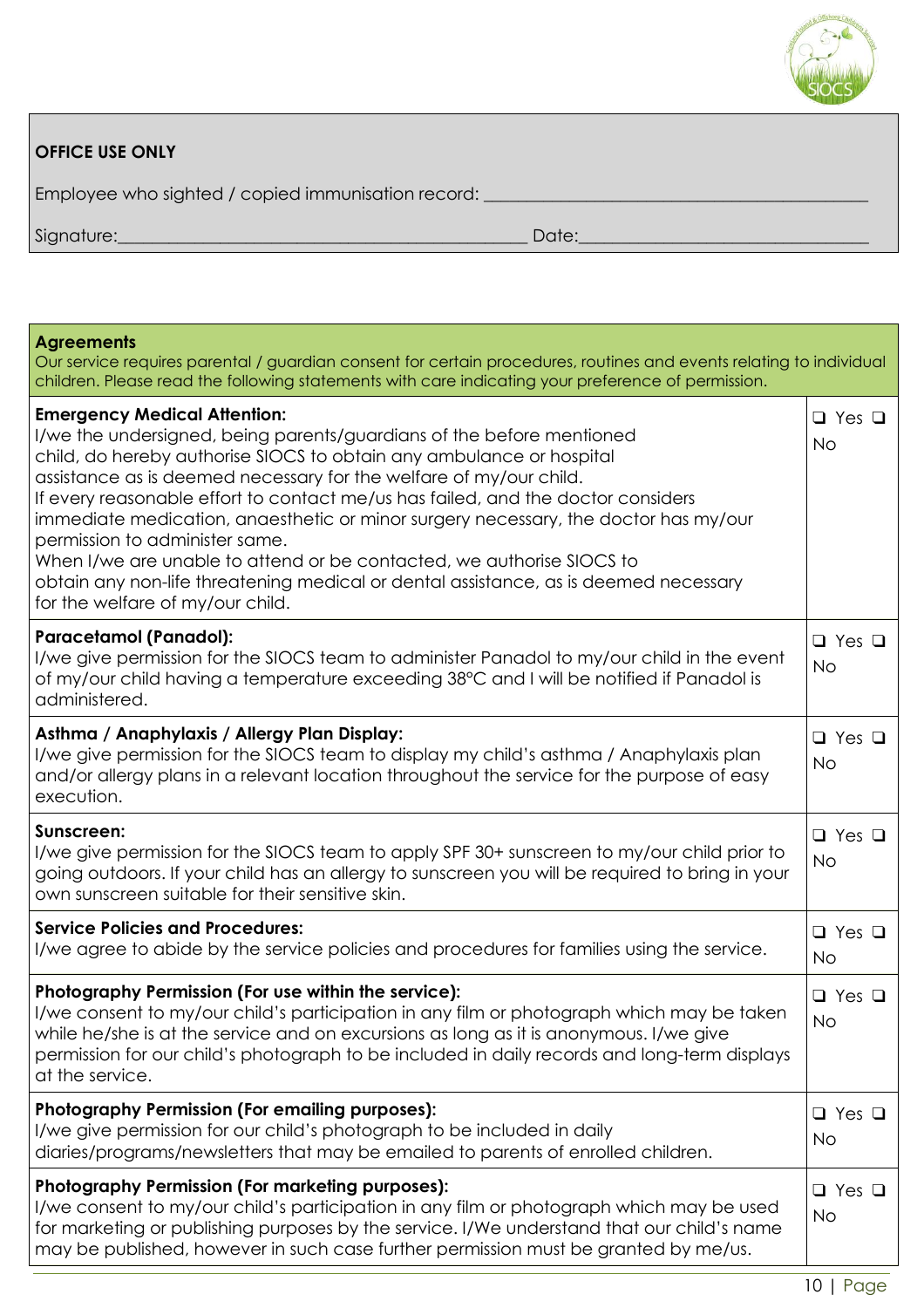

| <b>OFFICE USE ONLY</b>                             |       |
|----------------------------------------------------|-------|
| Employee who sighted / copied immunisation record: |       |
| Signature:                                         | Date: |

| <b>Agreements</b><br>Our service requires parental / guardian consent for certain procedures, routines and events relating to individual<br>children. Please read the following statements with care indicating your preference of permission.                                                                                                                                                                                                                                                                                                                                                                                                                               |                                |
|------------------------------------------------------------------------------------------------------------------------------------------------------------------------------------------------------------------------------------------------------------------------------------------------------------------------------------------------------------------------------------------------------------------------------------------------------------------------------------------------------------------------------------------------------------------------------------------------------------------------------------------------------------------------------|--------------------------------|
| <b>Emergency Medical Attention:</b><br>I/we the undersigned, being parents/guardians of the before mentioned<br>child, do hereby authorise SIOCS to obtain any ambulance or hospital<br>assistance as is deemed necessary for the welfare of my/our child.<br>If every reasonable effort to contact me/us has failed, and the doctor considers<br>immediate medication, anaesthetic or minor surgery necessary, the doctor has my/our<br>permission to administer same.<br>When I/we are unable to attend or be contacted, we authorise SIOCS to<br>obtain any non-life threatening medical or dental assistance, as is deemed necessary<br>for the welfare of my/our child. | $\Box$ Yes $\Box$<br>No        |
| <b>Paracetamol (Panadol):</b><br>I/we give permission for the SIOCS team to administer Panadol to my/our child in the event<br>of my/our child having a temperature exceeding 38°C and I will be notified if Panadol is<br>administered.                                                                                                                                                                                                                                                                                                                                                                                                                                     | $\Box$ Yes $\Box$<br><b>No</b> |
| Asthma / Anaphylaxis / Allergy Plan Display:<br>I/we give permission for the SIOCS team to display my child's asthma / Anaphylaxis plan<br>and/or allergy plans in a relevant location throughout the service for the purpose of easy<br>execution.                                                                                                                                                                                                                                                                                                                                                                                                                          | $\Box$ Yes $\Box$<br><b>No</b> |
| Sunscreen:<br>I/we give permission for the SIOCS team to apply SPF 30+ sunscreen to my/our child prior to<br>going outdoors. If your child has an allergy to sunscreen you will be required to bring in your<br>own sunscreen suitable for their sensitive skin.                                                                                                                                                                                                                                                                                                                                                                                                             | $\Box$ Yes $\Box$<br><b>No</b> |
| <b>Service Policies and Procedures:</b><br>I/we agree to abide by the service policies and procedures for families using the service.                                                                                                                                                                                                                                                                                                                                                                                                                                                                                                                                        | $\Box$ Yes $\Box$<br><b>No</b> |
| Photography Permission (For use within the service):<br>I/we consent to my/our child's participation in any film or photograph which may be taken<br>while he/she is at the service and on excursions as long as it is anonymous. I/we give<br>permission for our child's photograph to be included in daily records and long-term displays<br>at the service.                                                                                                                                                                                                                                                                                                               | $\Box$ Yes $\Box$<br><b>No</b> |
| <b>Photography Permission (For emailing purposes):</b><br>I/we give permission for our child's photograph to be included in daily<br>diaries/programs/newsletters that may be emailed to parents of enrolled children.                                                                                                                                                                                                                                                                                                                                                                                                                                                       | $\Box$ Yes $\Box$<br><b>No</b> |
| <b>Photography Permission (For marketing purposes):</b><br>I/we consent to my/our child's participation in any film or photograph which may be used<br>for marketing or publishing purposes by the service. I/We understand that our child's name<br>may be published, however in such case further permission must be granted by me/us.                                                                                                                                                                                                                                                                                                                                     | $\Box$ Yes $\Box$<br><b>No</b> |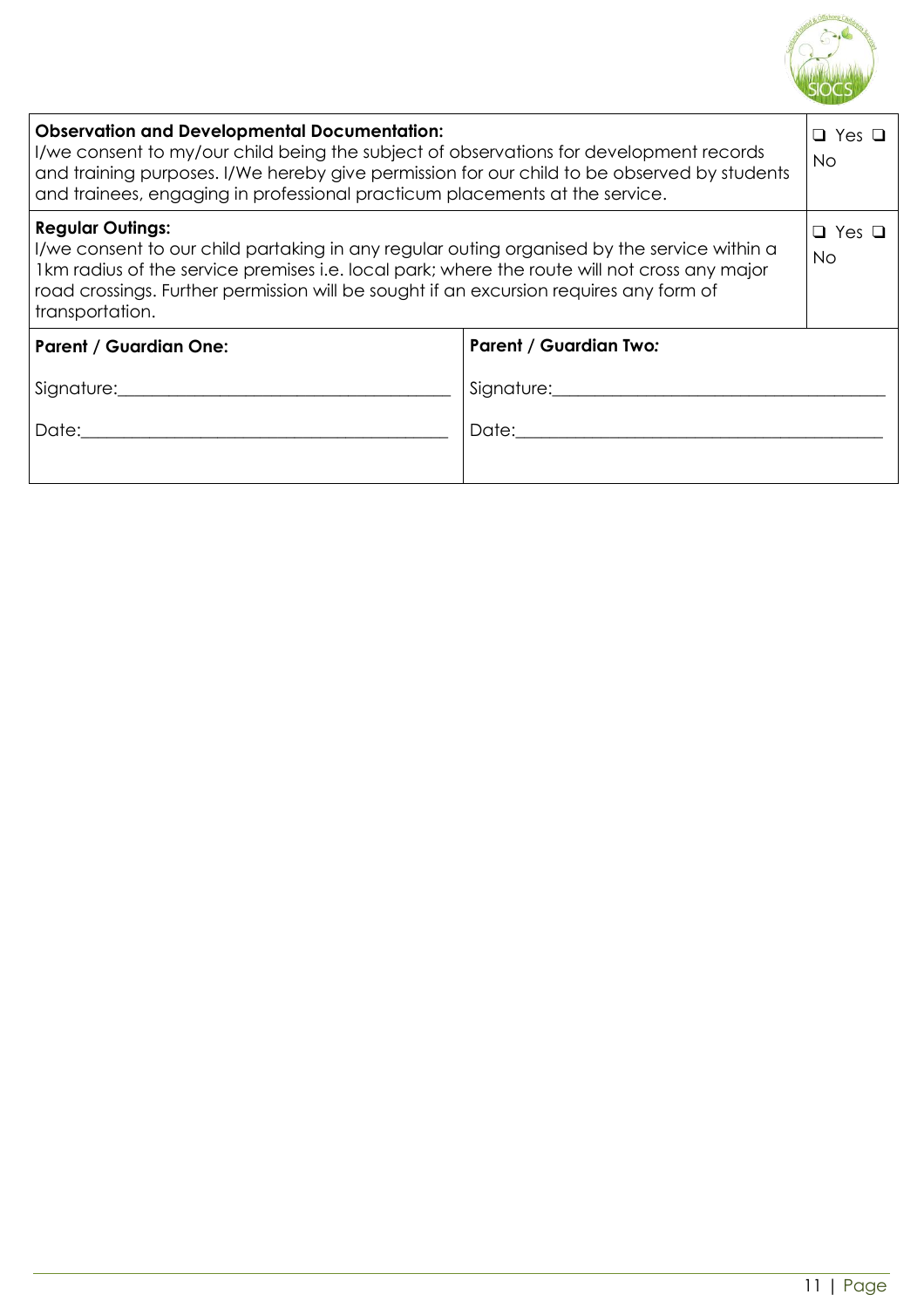

| <b>Observation and Developmental Documentation:</b><br>I/we consent to my/our child being the subject of observations for development records<br>and training purposes. I/We hereby give permission for our child to be observed by students<br>and trainees, engaging in professional practicum placements at the service.         |                               |  |  |  |  |  |
|-------------------------------------------------------------------------------------------------------------------------------------------------------------------------------------------------------------------------------------------------------------------------------------------------------------------------------------|-------------------------------|--|--|--|--|--|
| <b>Regular Outings:</b><br>I/we consent to our child partaking in any regular outing organised by the service within a<br>Ikm radius of the service premises i.e. local park; where the route will not cross any major<br>road crossings. Further permission will be sought if an excursion requires any form of<br>transportation. |                               |  |  |  |  |  |
| <b>Parent / Guardian One:</b>                                                                                                                                                                                                                                                                                                       | <b>Parent / Guardian Two:</b> |  |  |  |  |  |
| Signature: Management and the state of the state of the state of the state of the state of the state of the state of the state of the state of the state of the state of the state of the state of the state of the state of t<br>Signature: Management of the Signature:                                                           |                               |  |  |  |  |  |
| Date: the contract of the contract of the contract of the contract of the contract of the contract of the contract of the contract of the contract of the contract of the contract of the contract of the contract of the cont                                                                                                      |                               |  |  |  |  |  |
|                                                                                                                                                                                                                                                                                                                                     |                               |  |  |  |  |  |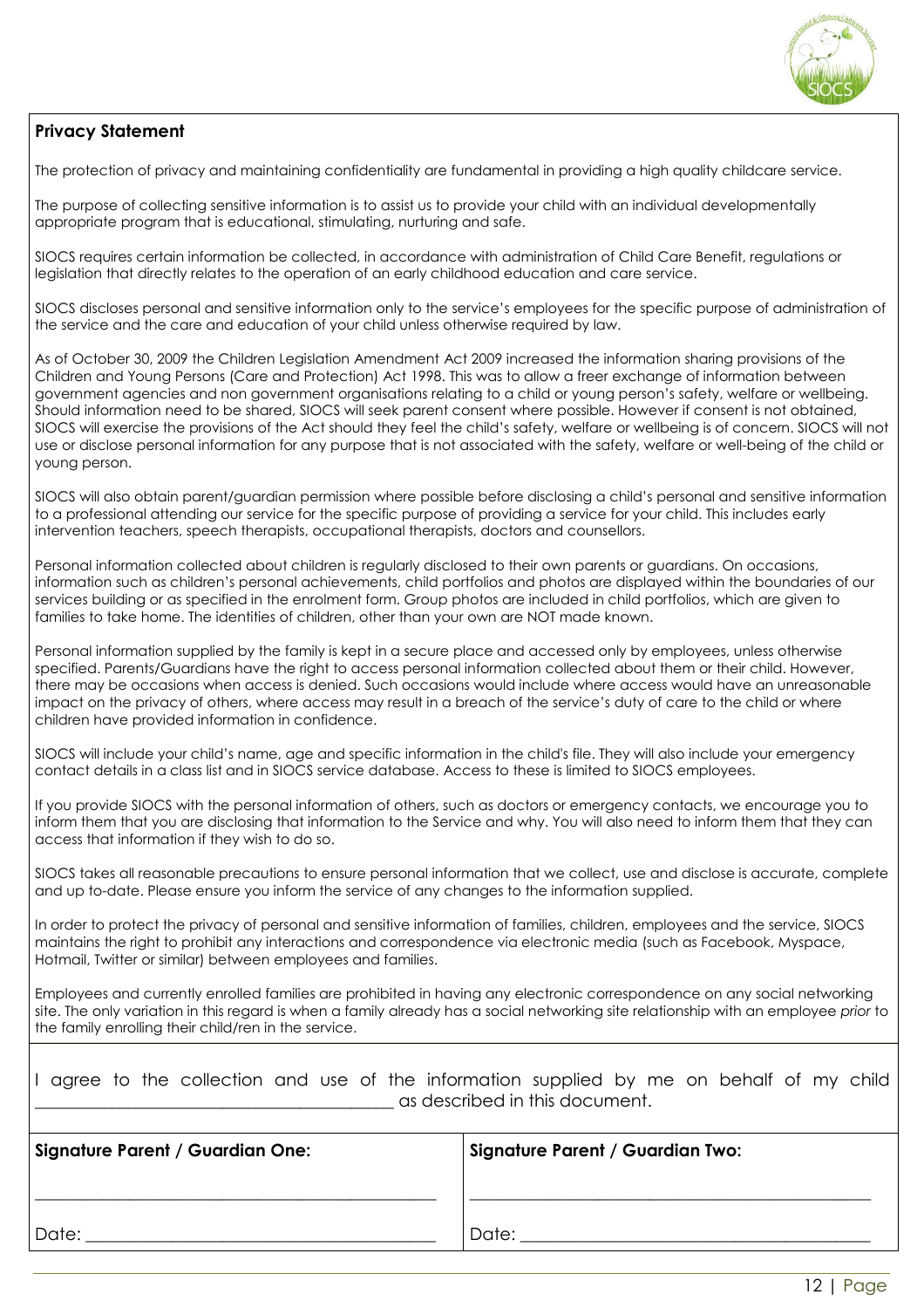

#### **Privacy Statement**

The protection of privacy and maintaining confidentiality are fundamental in providing a high quality childcare service.

The purpose of collecting sensitive information is to assist us to provide your child with an individual developmentally appropriate program that is educational, stimulating, nurturing and safe.

SIOCS requires certain information be collected, in accordance with administration of Child Care Benefit, regulations or legislation that directly relates to the operation of an early childhood education and care service.

SIOCS discloses personal and sensitive information only to the service's employees for the specific purpose of administration of the service and the care and education of your child unless otherwise required by law.

As of October 30, 2009 the Children Legislation Amendment Act 2009 increased the information sharing provisions of the Children and Young Persons (Care and Protection) Act 1998. This was to allow a freer exchange of information between government agencies and non government organisations relating to a child or young person's safety, welfare or wellbeing. Should information need to be shared, SIOCS will seek parent consent where possible. However if consent is not obtained, SIOCS will exercise the provisions of the Act should they feel the child's safety, welfare or wellbeing is of concern. SIOCS will not use or disclose personal information for any purpose that is not associated with the safety, welfare or well-being of the child or young person.

SIOCS will also obtain parent/guardian permission where possible before disclosing a child's personal and sensitive information to a professional attending our service for the specific purpose of providing a service for your child. This includes early intervention teachers, speech therapists, occupational therapists, doctors and counsellors.

Personal information collected about children is regularly disclosed to their own parents or guardians. On occasions, information such as children's personal achievements, child portfolios and photos are displayed within the boundaries of our services building or as specified in the enrolment form. Group photos are included in child portfolios, which are given to families to take home. The identities of children, other than your own are NOT made known.

Personal information supplied by the family is kept in a secure place and accessed only by employees, unless otherwise specified. Parents/Guardians have the right to access personal information collected about them or their child. However, there may be occasions when access is denied. Such occasions would include where access would have an unreasonable impact on the privacy of others, where access may result in a breach of the service's duty of care to the child or where children have provided information in confidence.

SIOCS will include your child's name, age and specific information in the child's file. They will also include your emergency contact details in a class list and in SIOCS service database. Access to these is limited to SIOCS employees.

If you provide SIOCS with the personal information of others, such as doctors or emergency contacts, we encourage you to inform them that you are disclosing that information to the Service and why. You will also need to inform them that they can access that information if they wish to do so.

SIOCS takes all reasonable precautions to ensure personal information that we collect, use and disclose is accurate, complete and up to-date. Please ensure you inform the service of any changes to the information supplied.

In order to protect the privacy of personal and sensitive information of families, children, employees and the service, SIOCS maintains the right to prohibit any interactions and correspondence via electronic media (such as Facebook, Myspace, Hotmail, Twitter or similar) between employees and families.

Employees and currently enrolled families are prohibited in having any electronic correspondence on any social networking site. The only variation in this regard is when a family already has a social networking site relationship with an employee *prior* to the family enrolling their child/ren in the service.

|  |  |  |  | I agree to the collection and use of the information supplied by me on behalf of my child |  |  |  |  |
|--|--|--|--|-------------------------------------------------------------------------------------------|--|--|--|--|
|  |  |  |  | as described in this document.                                                            |  |  |  |  |

| <b>Signature Parent / Guardian One:</b> | Signature Parent / Guardian Two: |  |  |  |  |
|-----------------------------------------|----------------------------------|--|--|--|--|
|                                         |                                  |  |  |  |  |
| Date:                                   | Date:                            |  |  |  |  |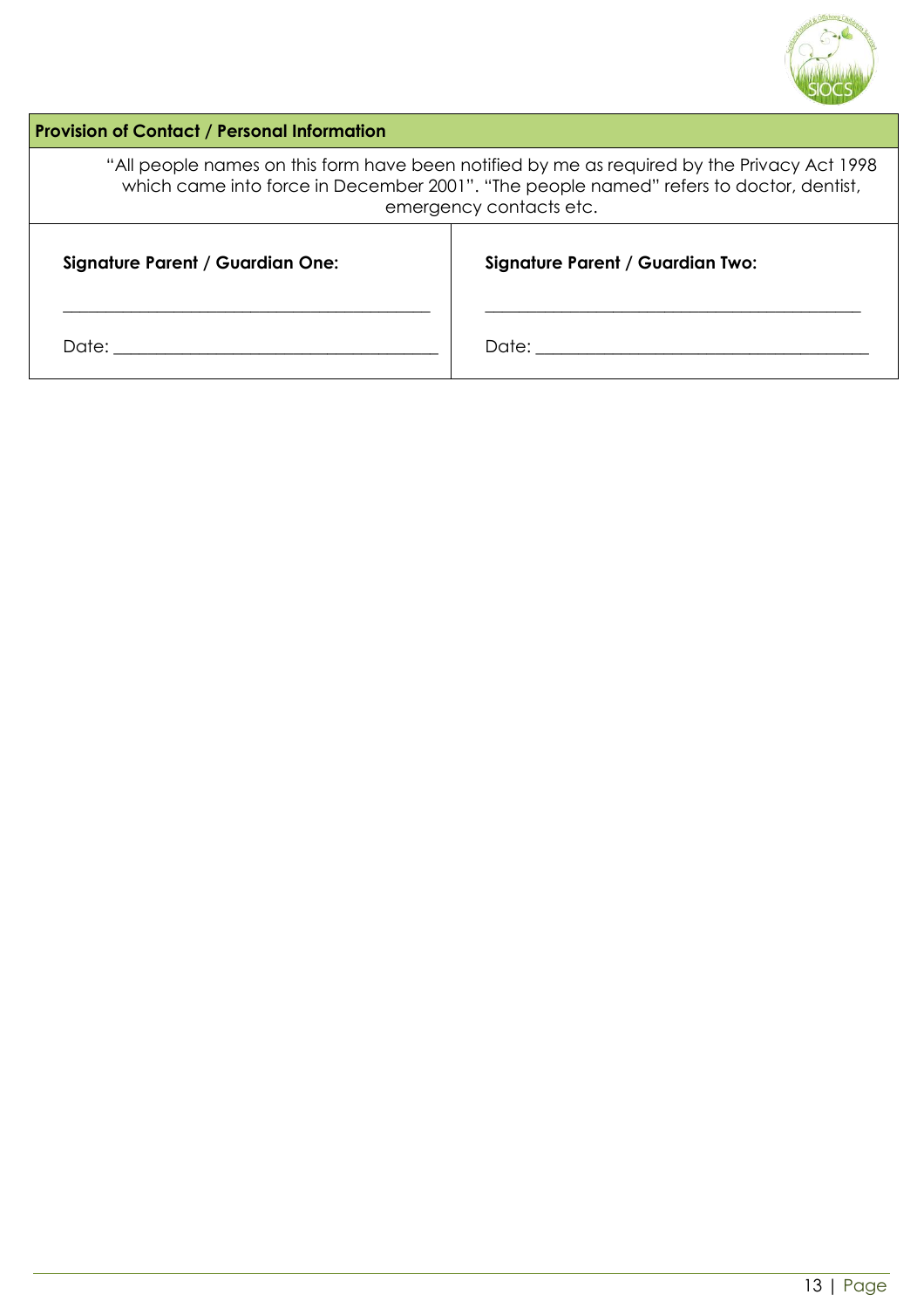

| <b>Provision of Contact / Personal Information</b>                                                                                                                                                               |                                  |  |  |  |  |  |
|------------------------------------------------------------------------------------------------------------------------------------------------------------------------------------------------------------------|----------------------------------|--|--|--|--|--|
| "All people names on this form have been notified by me as required by the Privacy Act 1998<br>which came into force in December 2001". "The people named" refers to doctor, dentist,<br>emergency contacts etc. |                                  |  |  |  |  |  |
| <b>Signature Parent / Guardian One:</b>                                                                                                                                                                          | Signature Parent / Guardian Two: |  |  |  |  |  |
| Date:                                                                                                                                                                                                            | Date:                            |  |  |  |  |  |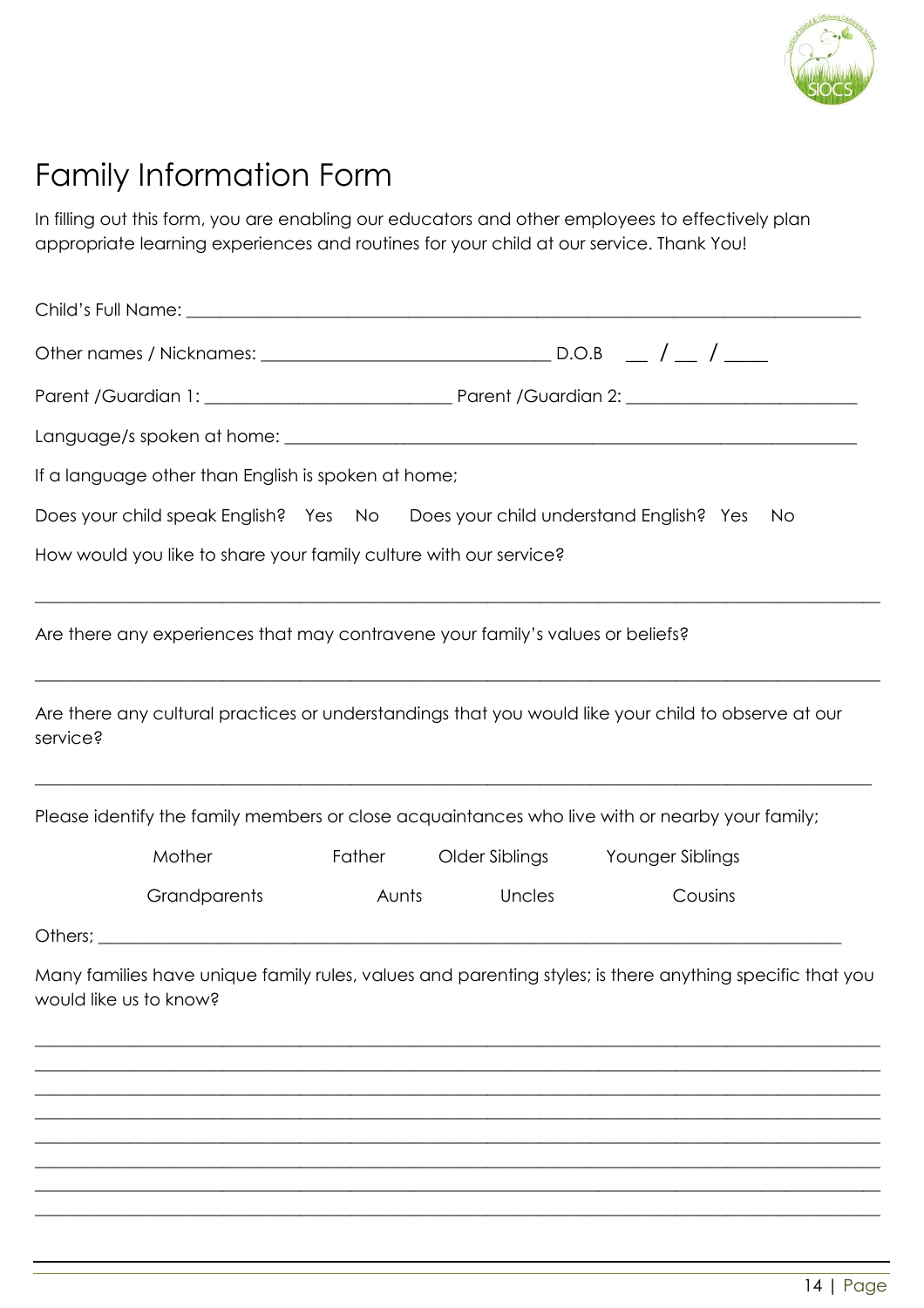

## Family Information Form

In filling out this form, you are enabling our educators and other employees to effectively plan appropriate learning experiences and routines for your child at our service. Thank You!

|          | If a language other than English is spoken at home;                            |       |               |                                                                                                          |  |
|----------|--------------------------------------------------------------------------------|-------|---------------|----------------------------------------------------------------------------------------------------------|--|
|          |                                                                                |       |               | Does your child speak English? Yes No Does your child understand English? Yes No                         |  |
|          | How would you like to share your family culture with our service?              |       |               |                                                                                                          |  |
|          | Are there any experiences that may contravene your family's values or beliefs? |       |               |                                                                                                          |  |
| service? |                                                                                |       |               | Are there any cultural practices or understandings that you would like your child to observe at our      |  |
|          |                                                                                |       |               | Please identify the family members or close acquaintances who live with or nearby your family;           |  |
|          | <b>Mother</b>                                                                  |       |               | Father Older Siblings Younger Siblings                                                                   |  |
|          | <b>Grandparents</b>                                                            | Aunts | <b>Uncles</b> | Cousins                                                                                                  |  |
|          |                                                                                |       |               |                                                                                                          |  |
|          | would like us to know?                                                         |       |               | Many families have unique family rules, values and parenting styles; is there anything specific that you |  |
|          |                                                                                |       |               |                                                                                                          |  |
|          |                                                                                |       |               |                                                                                                          |  |
|          |                                                                                |       |               |                                                                                                          |  |
|          |                                                                                |       |               |                                                                                                          |  |

 $\_$  , and the set of the set of the set of the set of the set of the set of the set of the set of the set of the set of the set of the set of the set of the set of the set of the set of the set of the set of the set of th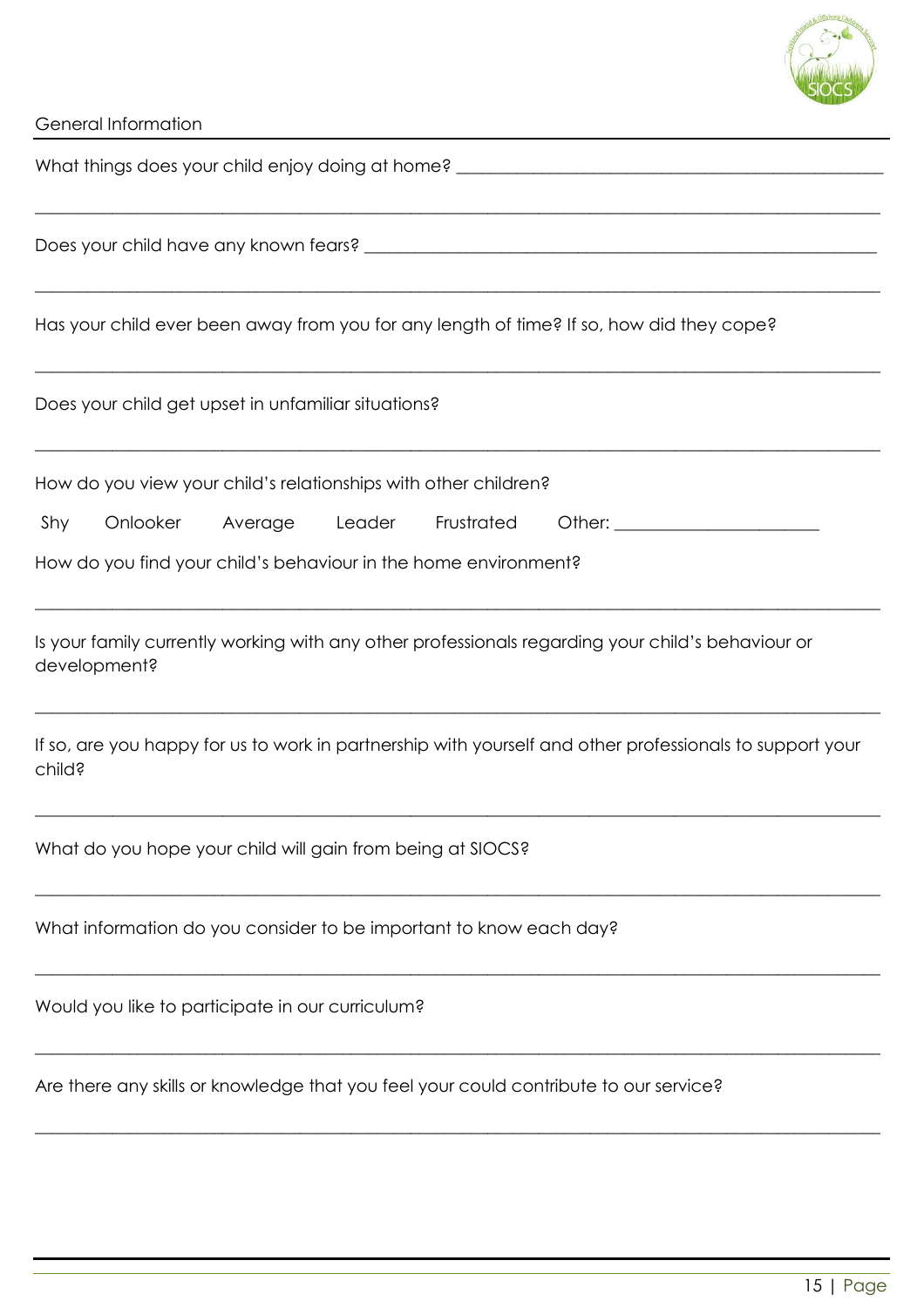

| What things does your child enjoy doing at home? ________________________________                                                                                                  |
|------------------------------------------------------------------------------------------------------------------------------------------------------------------------------------|
|                                                                                                                                                                                    |
| Has your child ever been away from you for any length of time? If so, how did they cope?                                                                                           |
| Does your child get upset in unfamiliar situations?                                                                                                                                |
| How do you view your child's relationships with other children?<br>Shy<br>Onlooker<br>Average Leader Frustrated<br>How do you find your child's behaviour in the home environment? |
| Is your family currently working with any other professionals regarding your child's behaviour or<br>development?                                                                  |
| If so, are you happy for us to work in partnership with yourself and other professionals to support your<br>child?                                                                 |
| What do you hope your child will gain from being at SIOCS?                                                                                                                         |
| What information do you consider to be important to know each day?                                                                                                                 |
| Would you like to participate in our curriculum?                                                                                                                                   |
| Are there any skills or knowledge that you feel your could contribute to our service?                                                                                              |
|                                                                                                                                                                                    |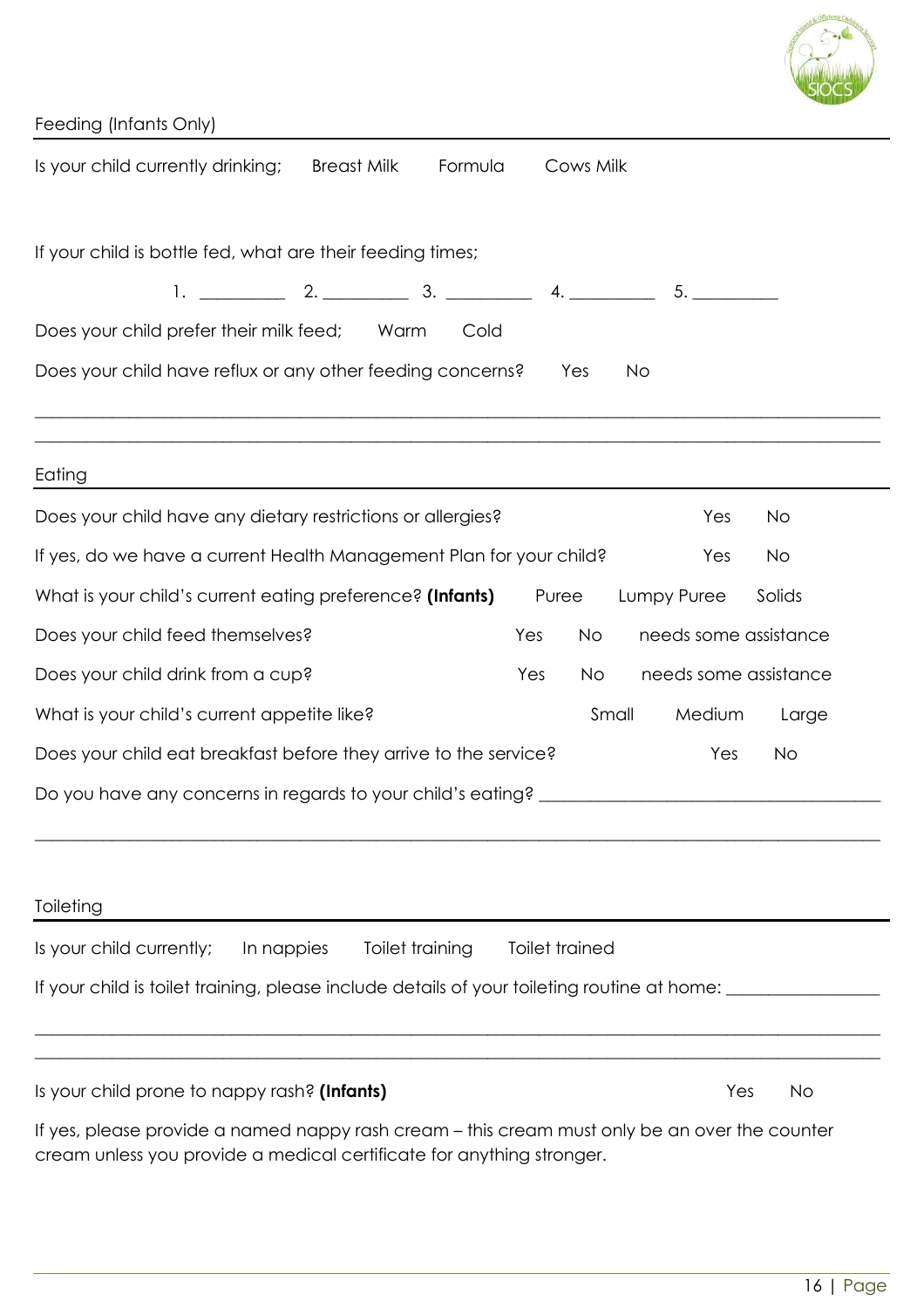| Feeding (Infants Only)                                                                                                                                                 |
|------------------------------------------------------------------------------------------------------------------------------------------------------------------------|
| Is your child currently drinking;<br><b>Breast Milk</b><br>Formula<br>Cows Milk                                                                                        |
|                                                                                                                                                                        |
| If your child is bottle fed, what are their feeding times;                                                                                                             |
| 5.                                                                                                                                                                     |
| Does your child prefer their milk feed; Warm<br>Cold                                                                                                                   |
| Does your child have reflux or any other feeding concerns?<br>Yes<br>No                                                                                                |
|                                                                                                                                                                        |
| Eating                                                                                                                                                                 |
| Does your child have any dietary restrictions or allergies?<br>Yes<br>No                                                                                               |
| If yes, do we have a current Health Management Plan for your child?<br>Yes<br><b>No</b>                                                                                |
| What is your child's current eating preference? (Infants)<br>Puree<br>Lumpy Puree<br>Solids                                                                            |
| Does your child feed themselves?<br>needs some assistance<br>Yes<br><b>No</b>                                                                                          |
| Does your child drink from a cup?<br>needs some assistance<br>Yes<br>No.                                                                                               |
| What is your child's current appetite like?<br>Small<br>Medium<br>Large                                                                                                |
| Does your child eat breakfast before they arrive to the service?<br>Yes<br>No                                                                                          |
|                                                                                                                                                                        |
|                                                                                                                                                                        |
|                                                                                                                                                                        |
| Toileting                                                                                                                                                              |
| Is your child currently;<br>In nappies<br>Toilet training<br>Toilet trained                                                                                            |
| If your child is toilet training, please include details of your toileting routine at home: where the summary                                                          |
| ,我们也不能在这里的时候,我们也不能在这里的时候,我们也不能会在这里的时候,我们也不能会在这里的时候,我们也不能会在这里的时候,我们也不能会在这里的时候,我们也不                                                                                      |
| Is your child prone to nappy rash? (Infants)<br>Yes<br><b>No</b>                                                                                                       |
| If yes, please provide a named nappy rash cream – this cream must only be an over the counter<br>cream unless you provide a medical certificate for anything stronger. |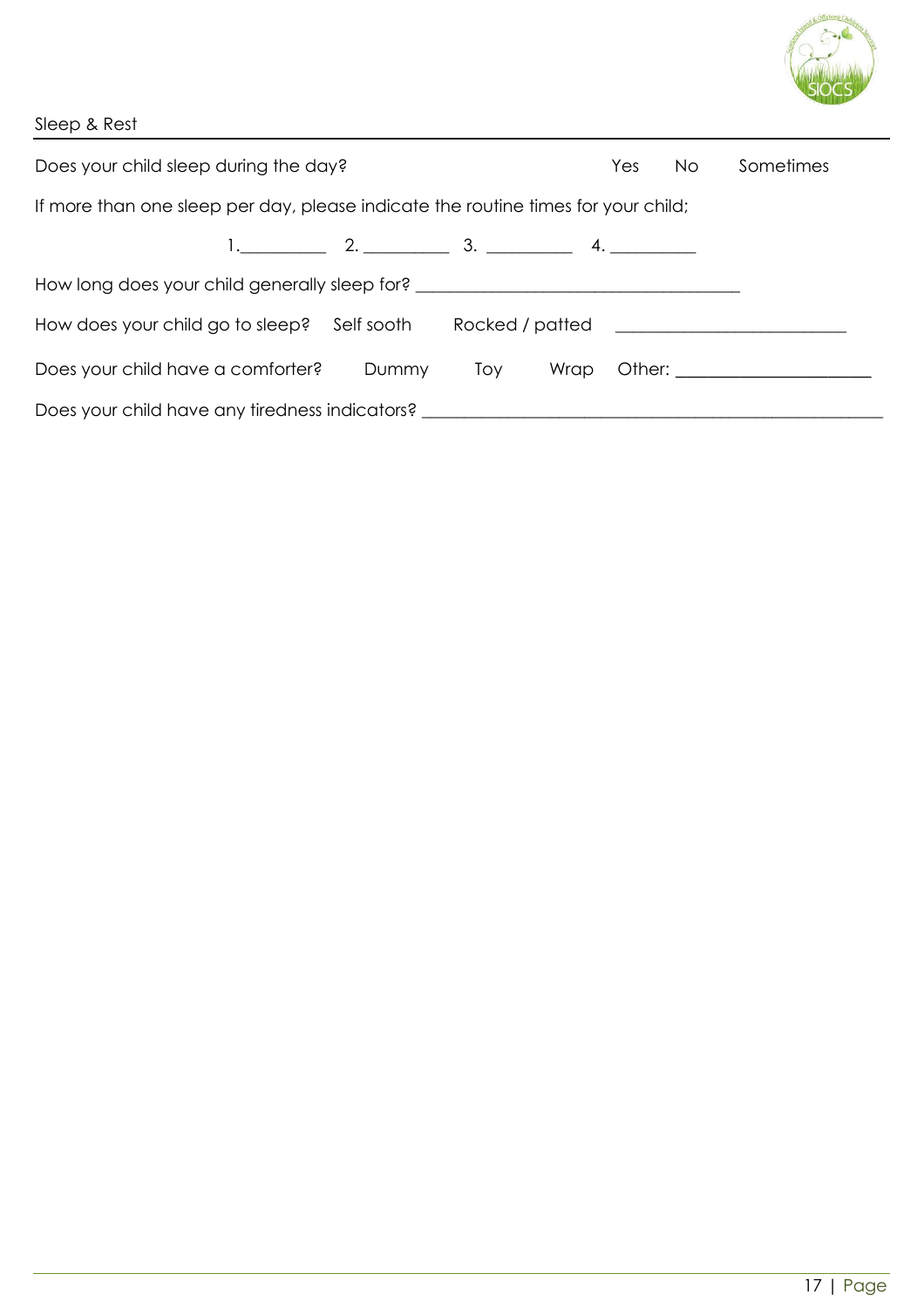

| Sleep & Rest |  |  |  |  |  |
|--------------|--|--|--|--|--|
|              |  |  |  |  |  |

| Does your child sleep during the day?                                             | Sometimes        |     |      |  |                              |
|-----------------------------------------------------------------------------------|------------------|-----|------|--|------------------------------|
| If more than one sleep per day, please indicate the routine times for your child; |                  |     |      |  |                              |
|                                                                                   | 1. $2.$ 2. 3. 4. |     |      |  |                              |
| How long does your child generally sleep for? __________________________________  |                  |     |      |  |                              |
| How does your child go to sleep? Self sooth                                       |                  |     |      |  |                              |
| Does your child have a comforter?                                                 | Dummy            | Toy | Wrap |  | Other: _____________________ |
| Does your child have any tiredness indicators? _________________________________  |                  |     |      |  |                              |